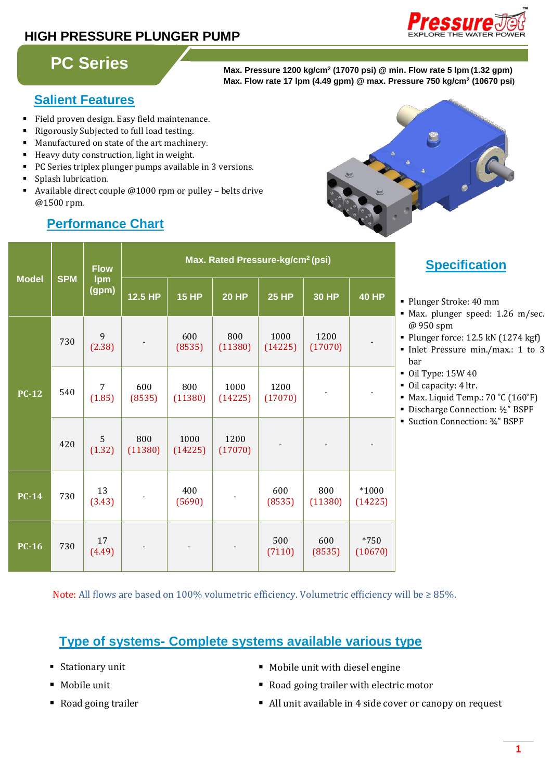# **HIGH PRESSURE PLUNGER PUMP**



# **PC Series**

**Max. Pressure 1200 kg/cm<sup>2</sup> (17070 psi) @ min. Flow rate 5 lpm (1.32 gpm) Max. Flow rate 17 lpm (4.49 gpm) @ max. Pressure 750 kg/cm<sup>2</sup> (10670 psi)**

## **Salient Features**

- Field proven design. Easy field maintenance.
- Rigorously Subjected to full load testing.
- Manufactured on state of the art machinery.
- Heavy duty construction, light in weight.
- PC Series triplex plunger pumps available in 3 versions.
- Splash lubrication.
- Available direct couple @1000 rpm or pulley belts drive @1500 rpm.

| <b>Model</b> | <b>SPM</b> | <b>Flow</b><br><b>Ipm</b><br>(gpm) | Max. Rated Pressure-kg/cm <sup>2</sup> (psi) |                 |                 |                 |                 |                                  |
|--------------|------------|------------------------------------|----------------------------------------------|-----------------|-----------------|-----------------|-----------------|----------------------------------|
|              |            |                                    | 12.5 HP                                      | <b>15 HP</b>    | <b>20 HP</b>    | <b>25 HP</b>    | <b>30 HP</b>    | <b>40 HP</b>                     |
| $PC-12$      | 730        | 9<br>(2.38)                        |                                              | 600<br>(8535)   | 800<br>(11380)  | 1000<br>(14225) | 1200<br>(17070) | $\blacksquare$<br>$\blacksquare$ |
|              | 540        | 7<br>(1.85)                        | 600<br>(8535)                                | 800<br>(11380)  | 1000<br>(14225) | 1200<br>(17070) |                 | $\blacksquare$                   |
|              | 420        | 5<br>(1.32)                        | 800<br>(11380)                               | 1000<br>(14225) | 1200<br>(17070) |                 |                 |                                  |
| $PC-14$      | 730        | 13<br>(3.43)                       |                                              | 400<br>(5690)   |                 | 600<br>(8535)   | 800<br>(11380)  | $*1000$<br>(14225)               |
| <b>PC-16</b> | 730        | 17<br>(4.49)                       |                                              |                 |                 | 500<br>(7110)   | 600<br>(8535)   | $*750$<br>(10670)                |

# **Performance Chart**

**Specification:**

Plunger Stroke: 40 mm

- Max. plunger speed: 1.26 m/sec. @ 950 spm
- Plunger force: 12.5 kN (1274 kgf)
- Inlet Pressure min./max.: 1 to 3 bar
- Oil Type: 15W 40
- Oil capacity: 4 ltr.
- Max. Liquid Temp.: 70 °C (160°F)
- Discharge Connection: ½" BSPF
- Suction Connection: ¾" BSPF

Note: All flows are based on 100% volumetric efficiency. Volumetric efficiency will be  $\geq 85$ %.

## **Type of systems- Complete systems available various type**

- 
- 
- 
- Stationary unit Nobile unit with diesel engine
- Mobile unit Road going trailer with electric motor
- Road going trailer All unit available in 4 side cover or canopy on request